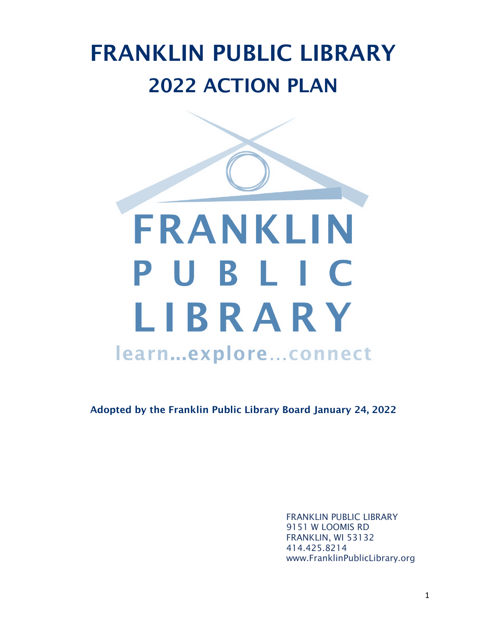# FRANKLIN PUBLIC LIBRARY 2022 ACTION PLAN



Adopted by the Franklin Public Library Board January 24, 2022

FRANKLIN PUBLIC LIBRARY 9151 W LOOMIS RD FRANKLIN, WI 53132 414.425.8214 www.FranklinPublicLibrary.org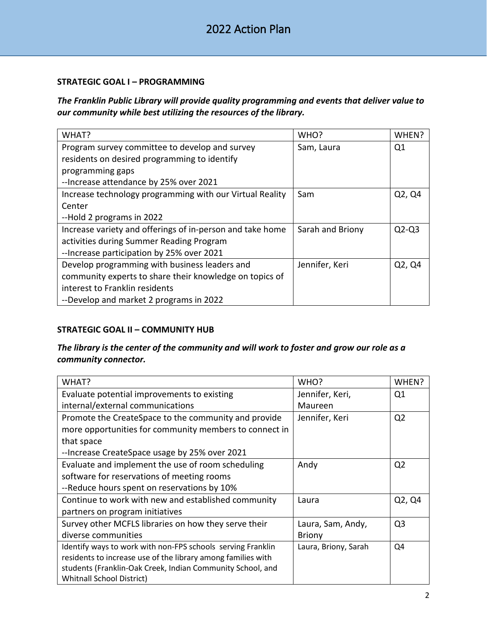#### **STRATEGIC GOAL I – PROGRAMMING**

*The Franklin Public Library will provide quality programming and events that deliver value to our community while best utilizing the resources of the library.*

| WHAT?                                                     | WHO?             | WHEN?   |
|-----------------------------------------------------------|------------------|---------|
| Program survey committee to develop and survey            | Sam, Laura       | Q1      |
| residents on desired programming to identify              |                  |         |
| programming gaps                                          |                  |         |
| -- Increase attendance by 25% over 2021                   |                  |         |
| Increase technology programming with our Virtual Reality  | Sam              | Q2, Q4  |
| Center                                                    |                  |         |
| --Hold 2 programs in 2022                                 |                  |         |
| Increase variety and offerings of in-person and take home | Sarah and Briony | $Q2-Q3$ |
| activities during Summer Reading Program                  |                  |         |
| -- Increase participation by 25% over 2021                |                  |         |
| Develop programming with business leaders and             | Jennifer, Keri   | Q2, Q4  |
| community experts to share their knowledge on topics of   |                  |         |
| interest to Franklin residents                            |                  |         |
| --Develop and market 2 programs in 2022                   |                  |         |

## **STRATEGIC GOAL II – COMMUNITY HUB**

## *The library is the center of the community and will work to foster and grow our role as a community connector.*

| WHAT?                                                        | WHO?                 | WHEN?          |
|--------------------------------------------------------------|----------------------|----------------|
| Evaluate potential improvements to existing                  | Jennifer, Keri,      | Q <sub>1</sub> |
| internal/external communications                             | Maureen              |                |
| Promote the CreateSpace to the community and provide         | Jennifer, Keri       | Q <sub>2</sub> |
| more opportunities for community members to connect in       |                      |                |
| that space                                                   |                      |                |
| -- Increase CreateSpace usage by 25% over 2021               |                      |                |
| Evaluate and implement the use of room scheduling            | Andy                 | Q <sub>2</sub> |
| software for reservations of meeting rooms                   |                      |                |
| --Reduce hours spent on reservations by 10%                  |                      |                |
| Continue to work with new and established community          | Laura                | Q2, Q4         |
| partners on program initiatives                              |                      |                |
| Survey other MCFLS libraries on how they serve their         | Laura, Sam, Andy,    | Q3             |
| diverse communities                                          | <b>Briony</b>        |                |
| Identify ways to work with non-FPS schools serving Franklin  | Laura, Briony, Sarah | Q4             |
| residents to increase use of the library among families with |                      |                |
| students (Franklin-Oak Creek, Indian Community School, and   |                      |                |
| <b>Whitnall School District)</b>                             |                      |                |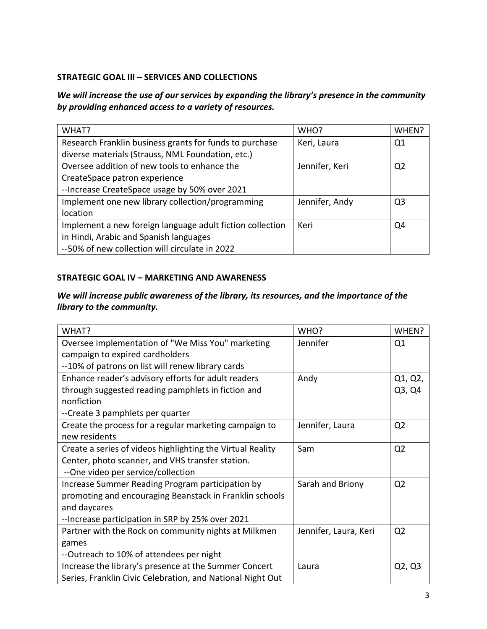#### **STRATEGIC GOAL III – SERVICES AND COLLECTIONS**

*We will increase the use of our services by expanding the library's presence in the community by providing enhanced access to a variety of resources.* 

| WHAT?                                                     | WHO?           | WHEN?          |
|-----------------------------------------------------------|----------------|----------------|
| Research Franklin business grants for funds to purchase   | Keri, Laura    | Q1             |
| diverse materials (Strauss, NML Foundation, etc.)         |                |                |
| Oversee addition of new tools to enhance the              | Jennifer, Keri | Q <sub>2</sub> |
| CreateSpace patron experience                             |                |                |
| -- Increase CreateSpace usage by 50% over 2021            |                |                |
| Implement one new library collection/programming          | Jennifer, Andy | O <sub>3</sub> |
| location                                                  |                |                |
| Implement a new foreign language adult fiction collection | Keri           | Q4             |
| in Hindi, Arabic and Spanish languages                    |                |                |
| --50% of new collection will circulate in 2022            |                |                |

#### **STRATEGIC GOAL IV – MARKETING AND AWARENESS**

# *We will increase public awareness of the library, its resources, and the importance of the library to the community.*

| WHAT?                                                      | WHO?                  | WHEN?          |
|------------------------------------------------------------|-----------------------|----------------|
| Oversee implementation of "We Miss You" marketing          | Jennifer              | Q1             |
| campaign to expired cardholders                            |                       |                |
| --10% of patrons on list will renew library cards          |                       |                |
| Enhance reader's advisory efforts for adult readers        | Andy                  | Q1, Q2,        |
| through suggested reading pamphlets in fiction and         |                       | Q3, Q4         |
| nonfiction                                                 |                       |                |
| --Create 3 pamphlets per quarter                           |                       |                |
| Create the process for a regular marketing campaign to     | Jennifer, Laura       | Q <sub>2</sub> |
| new residents                                              |                       |                |
| Create a series of videos highlighting the Virtual Reality | Sam                   | Q <sub>2</sub> |
| Center, photo scanner, and VHS transfer station.           |                       |                |
| --One video per service/collection                         |                       |                |
| Increase Summer Reading Program participation by           | Sarah and Briony      | Q <sub>2</sub> |
| promoting and encouraging Beanstack in Franklin schools    |                       |                |
| and daycares                                               |                       |                |
| --Increase participation in SRP by 25% over 2021           |                       |                |
| Partner with the Rock on community nights at Milkmen       | Jennifer, Laura, Keri | Q <sub>2</sub> |
| games                                                      |                       |                |
| --Outreach to 10% of attendees per night                   |                       |                |
| Increase the library's presence at the Summer Concert      | Laura                 | Q2, Q3         |
| Series, Franklin Civic Celebration, and National Night Out |                       |                |